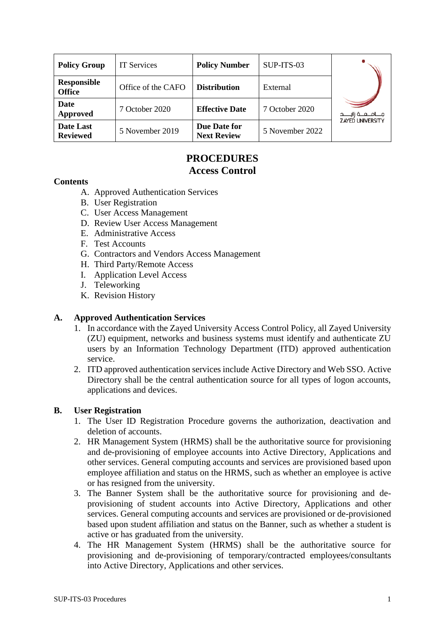| <b>Policy Group</b>                 | <b>IT Services</b> | <b>Policy Number</b>               | SUP-ITS-03      |                                                      |
|-------------------------------------|--------------------|------------------------------------|-----------------|------------------------------------------------------|
| <b>Responsible</b><br><b>Office</b> | Office of the CAFO | <b>Distribution</b>                | External        |                                                      |
| Date<br>Approved                    | 7 October 2020     | <b>Effective Date</b>              | 7 October 2020  | جــــامــــــه زايــــــد<br><b>ZAYED UNIVERSITY</b> |
| Date Last<br><b>Reviewed</b>        | 5 November 2019    | Due Date for<br><b>Next Review</b> | 5 November 2022 |                                                      |

# **PROCEDURES Access Control**

#### **Contents**

- A. Approved Authentication Services
- B. User Registration
- C. User Access Management
- D. Review User Access Management
- E. Administrative Access
- F. Test Accounts
- G. Contractors and Vendors Access Management
- H. Third Party/Remote Access
- I. Application Level Access
- J. Teleworking
- K. Revision History

#### **A. Approved Authentication Services**

- 1. In accordance with the Zayed University Access Control Policy, all Zayed University (ZU) equipment, networks and business systems must identify and authenticate ZU users by an Information Technology Department (ITD) approved authentication service.
- 2. ITD approved authentication services include Active Directory and Web SSO. Active Directory shall be the central authentication source for all types of logon accounts, applications and devices.

## **B. User Registration**

- 1. The User ID Registration Procedure governs the authorization, deactivation and deletion of accounts.
- 2. HR Management System (HRMS) shall be the authoritative source for provisioning and de-provisioning of employee accounts into Active Directory, Applications and other services. General computing accounts and services are provisioned based upon employee affiliation and status on the HRMS, such as whether an employee is active or has resigned from the university.
- 3. The Banner System shall be the authoritative source for provisioning and deprovisioning of student accounts into Active Directory, Applications and other services. General computing accounts and services are provisioned or de-provisioned based upon student affiliation and status on the Banner, such as whether a student is active or has graduated from the university.
- 4. The HR Management System (HRMS) shall be the authoritative source for provisioning and de-provisioning of temporary/contracted employees/consultants into Active Directory, Applications and other services.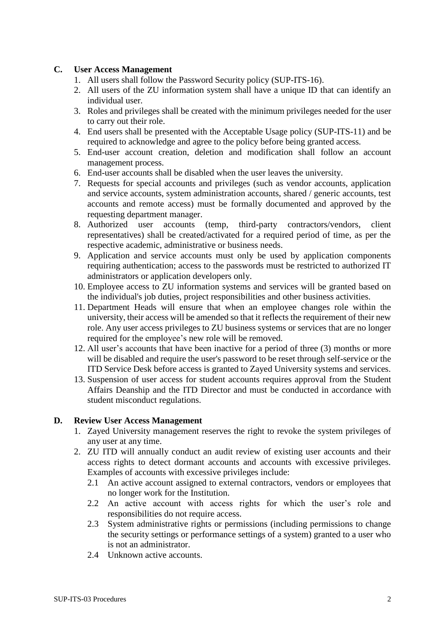#### **C. User Access Management**

- 1. All users shall follow the Password Security policy (SUP-ITS-16).
- 2. All users of the ZU information system shall have a unique ID that can identify an individual user.
- 3. Roles and privileges shall be created with the minimum privileges needed for the user to carry out their role.
- 4. End users shall be presented with the Acceptable Usage policy (SUP-ITS-11) and be required to acknowledge and agree to the policy before being granted access.
- 5. End-user account creation, deletion and modification shall follow an account management process.
- 6. End-user accounts shall be disabled when the user leaves the university.
- 7. Requests for special accounts and privileges (such as vendor accounts, application and service accounts, system administration accounts, shared / generic accounts, test accounts and remote access) must be formally documented and approved by the requesting department manager.
- 8. Authorized user accounts (temp, third-party contractors/vendors, client representatives) shall be created/activated for a required period of time, as per the respective academic, administrative or business needs.
- 9. Application and service accounts must only be used by application components requiring authentication; access to the passwords must be restricted to authorized IT administrators or application developers only.
- 10. Employee access to ZU information systems and services will be granted based on the individual's job duties, project responsibilities and other business activities.
- 11. Department Heads will ensure that when an employee changes role within the university, their access will be amended so that it reflects the requirement of their new role. Any user access privileges to ZU business systems or services that are no longer required for the employee's new role will be removed.
- 12. All user's accounts that have been inactive for a period of three (3) months or more will be disabled and require the user's password to be reset through self-service or the ITD Service Desk before access is granted to Zayed University systems and services.
- 13. Suspension of user access for student accounts requires approval from the Student Affairs Deanship and the ITD Director and must be conducted in accordance with student misconduct regulations.

#### **D. Review User Access Management**

- 1. Zayed University management reserves the right to revoke the system privileges of any user at any time.
- 2. ZU ITD will annually conduct an audit review of existing user accounts and their access rights to detect dormant accounts and accounts with excessive privileges. Examples of accounts with excessive privileges include:
	- 2.1 An active account assigned to external contractors, vendors or employees that no longer work for the Institution.
	- 2.2 An active account with access rights for which the user's role and responsibilities do not require access.
	- 2.3 System administrative rights or permissions (including permissions to change the security settings or performance settings of a system) granted to a user who is not an administrator.
	- 2.4 Unknown active accounts.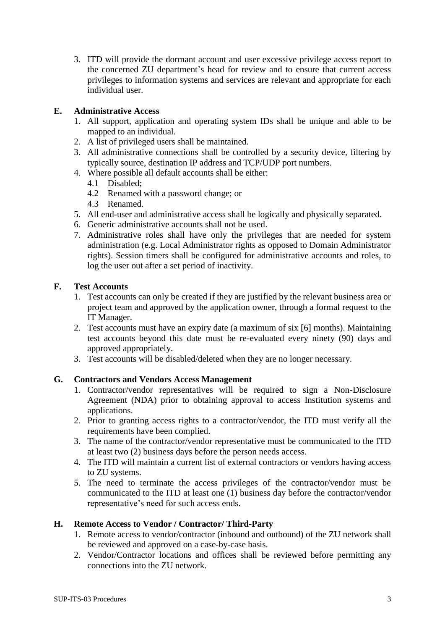3. ITD will provide the dormant account and user excessive privilege access report to the concerned ZU department's head for review and to ensure that current access privileges to information systems and services are relevant and appropriate for each individual user.

## **E. Administrative Access**

- 1. All support, application and operating system IDs shall be unique and able to be mapped to an individual.
- 2. A list of privileged users shall be maintained.
- 3. All administrative connections shall be controlled by a security device, filtering by typically source, destination IP address and TCP/UDP port numbers.
- 4. Where possible all default accounts shall be either:
	- 4.1 Disabled;
	- 4.2 Renamed with a password change; or
	- 4.3 Renamed.
- 5. All end-user and administrative access shall be logically and physically separated.
- 6. Generic administrative accounts shall not be used.
- 7. Administrative roles shall have only the privileges that are needed for system administration (e.g. Local Administrator rights as opposed to Domain Administrator rights). Session timers shall be configured for administrative accounts and roles, to log the user out after a set period of inactivity.

## **F. Test Accounts**

- 1. Test accounts can only be created if they are justified by the relevant business area or project team and approved by the application owner, through a formal request to the IT Manager.
- 2. Test accounts must have an expiry date (a maximum of six [6] months). Maintaining test accounts beyond this date must be re-evaluated every ninety (90) days and approved appropriately.
- 3. Test accounts will be disabled/deleted when they are no longer necessary.

## **G. Contractors and Vendors Access Management**

- 1. Contractor/vendor representatives will be required to sign a Non-Disclosure Agreement (NDA) prior to obtaining approval to access Institution systems and applications.
- 2. Prior to granting access rights to a contractor/vendor, the ITD must verify all the requirements have been complied.
- 3. The name of the contractor/vendor representative must be communicated to the ITD at least two (2) business days before the person needs access.
- 4. The ITD will maintain a current list of external contractors or vendors having access to ZU systems.
- 5. The need to terminate the access privileges of the contractor/vendor must be communicated to the ITD at least one (1) business day before the contractor/vendor representative's need for such access ends.

## **H. Remote Access to Vendor / Contractor/ Third-Party**

- 1. Remote access to vendor/contractor (inbound and outbound) of the ZU network shall be reviewed and approved on a case-by-case basis.
- 2. Vendor/Contractor locations and offices shall be reviewed before permitting any connections into the ZU network.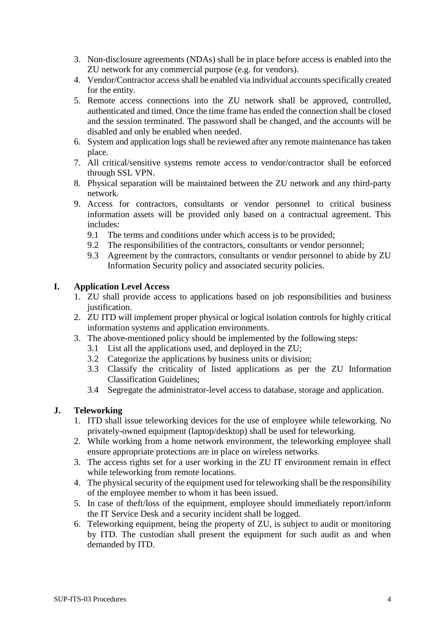- 3. Non-disclosure agreements (NDAs) shall be in place before access is enabled into the ZU network for any commercial purpose (e.g. for vendors).
- 4. Vendor/Contractor access shall be enabled via individual accounts specifically created for the entity.
- 5. Remote access connections into the ZU network shall be approved, controlled, authenticated and timed. Once the time frame has ended the connection shall be closed and the session terminated. The password shall be changed, and the accounts will be disabled and only be enabled when needed.
- 6. System and application logs shall be reviewed after any remote maintenance has taken place.
- 7. All critical/sensitive systems remote access to vendor/contractor shall be enforced through SSL VPN.
- 8. Physical separation will be maintained between the ZU network and any third-party network.
- 9. Access for contractors, consultants or vendor personnel to critical business information assets will be provided only based on a contractual agreement. This includes:
	- 9.1 The terms and conditions under which access is to be provided;
	- 9.2 The responsibilities of the contractors, consultants or vendor personnel;
	- 9.3 Agreement by the contractors, consultants or vendor personnel to abide by ZU Information Security policy and associated security policies.

## **I. Application Level Access**

- 1. ZU shall provide access to applications based on job responsibilities and business justification.
- 2. ZU ITD will implement proper physical or logical isolation controls for highly critical information systems and application environments.
- 3. The above-mentioned policy should be implemented by the following steps:
	- 3.1 List all the applications used, and deployed in the ZU;
	- 3.2 Categorize the applications by business units or division;
	- 3.3 Classify the criticality of listed applications as per the ZU Information Classification Guidelines;
	- 3.4 Segregate the administrator-level access to database, storage and application.

## **J. Teleworking**

- 1. ITD shall issue teleworking devices for the use of employee while teleworking. No privately-owned equipment (laptop/desktop) shall be used for teleworking.
- 2. While working from a home network environment, the teleworking employee shall ensure appropriate protections are in place on wireless networks.
- 3. The access rights set for a user working in the ZU IT environment remain in effect while teleworking from remote locations.
- 4. The physical security of the equipment used for teleworking shall be the responsibility of the employee member to whom it has been issued.
- 5. In case of theft/loss of the equipment, employee should immediately report/inform the IT Service Desk and a security incident shall be logged.
- 6. Teleworking equipment, being the property of ZU, is subject to audit or monitoring by ITD. The custodian shall present the equipment for such audit as and when demanded by ITD.